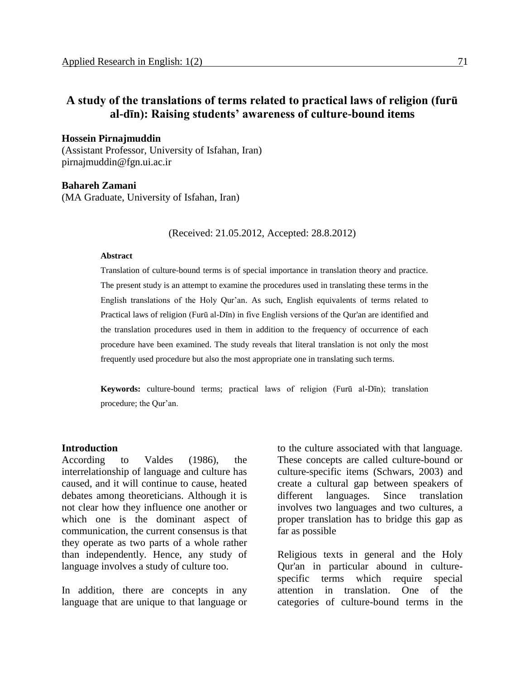# **A study of the translations of terms related to practical laws of religion (furū al-dīn): Raising students' awareness of culture-bound items**

**Hossein Pirnajmuddin**

(Assistant Professor, University of Isfahan, Iran) pirnajmuddin@fgn.ui.ac.ir

**Bahareh Zamani** (MA Graduate, University of Isfahan, Iran)

(Received: 21.05.2012, Accepted: 28.8.2012)

#### **Abstract**

Translation of culture-bound terms is of special importance in translation theory and practice. The present study is an attempt to examine the procedures used in translating these terms in the English translations of the Holy Qur'an. As such, English equivalents of terms related to Practical laws of religion (Furū al-Dīn) in five English versions of the Qur'an are identified and the translation procedures used in them in addition to the frequency of occurrence of each procedure have been examined. The study reveals that literal translation is not only the most frequently used procedure but also the most appropriate one in translating such terms.

**Keywords:** culture-bound terms; practical laws of religion (Furū al-Dīn); translation procedure; the Qur'an.

#### **Introduction**

According to Valdes (1986), the interrelationship of language and culture has caused, and it will continue to cause, heated debates among theoreticians. Although it is not clear how they influence one another or which one is the dominant aspect of communication, the current consensus is that they operate as two parts of a whole rather than independently. Hence, any study of language involves a study of culture too.

In addition, there are concepts in any language that are unique to that language or

to the culture associated with that language. These concepts are called culture-bound or culture-specific items (Schwars, 2003) and create a cultural gap between speakers of different languages. Since translation involves two languages and two cultures, a proper translation has to bridge this gap as far as possible

Religious texts in general and the Holy Qur'an in particular abound in culturespecific terms which require special attention in translation. One of the categories of culture-bound terms in the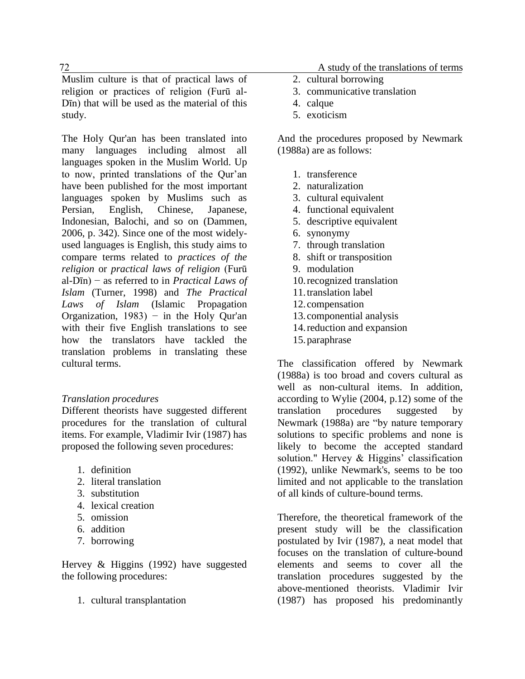Muslim culture is that of practical laws of religion or practices of religion (Furū al-Dīn) that will be used as the material of this study.

The Holy Qur'an has been translated into many languages including almost all languages spoken in the Muslim World. Up to now, printed translations of the Qur'an have been published for the most important languages spoken by Muslims such as Persian, English, Chinese, Japanese, Indonesian, Balochi, and so on (Dammen, 2006, p. 342). Since one of the most widelyused languages is English, this study aims to compare terms related to *practices of the religion* or *practical laws of religion* (Furū al-Dīn) − as referred to in *Practical Laws of Islam* (Turner, 1998) and *The Practical Laws of Islam* (Islamic Propagation Organization, 1983) − in the Holy Qur'an with their five English translations to see how the translators have tackled the translation problems in translating these cultural terms.

# *Translation procedures*

Different theorists have suggested different procedures for the translation of cultural items. For example, Vladimir Ivir (1987) has proposed the following seven procedures:

- 1. definition
- 2. literal translation
- 3. substitution
- 4. lexical creation
- 5. omission
- 6. addition
- 7. borrowing

Hervey & Higgins (1992) have suggested the following procedures:

1. cultural transplantation

27 A study of the translations of terms

- 2. cultural borrowing
- 3. communicative translation
- 4. calque
- 5. exoticism

And the procedures proposed by Newmark (1988a) are as follows:

- 1. transference
- 2. naturalization
- 3. cultural equivalent
- 4. functional equivalent
- 5. descriptive equivalent
- 6. synonymy
- 7. through translation
- 8. shift or transposition
- 9. modulation
- 10.recognized translation
- 11.translation label
- 12.compensation
- 13.componential analysis
- 14.reduction and expansion
- 15.paraphrase

The classification offered by Newmark (1988a) is too broad and covers cultural as well as non-cultural items. In addition, according to Wylie (2004, p.12) some of the translation procedures suggested by Newmark (1988a) are "by nature temporary solutions to specific problems and none is likely to become the accepted standard solution." Hervey & Higgins' classification (1992), unlike Newmark's, seems to be too limited and not applicable to the translation of all kinds of culture-bound terms.

Therefore, the theoretical framework of the present study will be the classification postulated by Ivir (1987), a neat model that focuses on the translation of culture-bound elements and seems to cover all the translation procedures suggested by the above-mentioned theorists. Vladimir Ivir (1987) has proposed his predominantly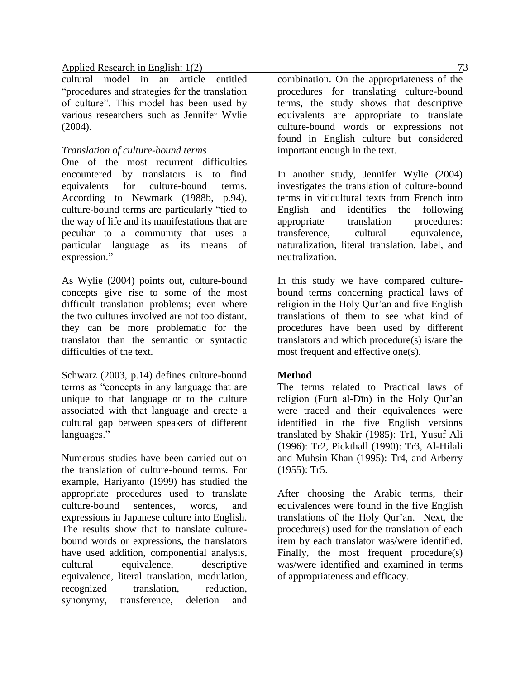cultural model in an article entitled "procedures and strategies for the translation of culture". This model has been used by various researchers such as Jennifer Wylie (2004).

# *Translation of culture-bound terms*

One of the most recurrent difficulties encountered by translators is to find equivalents for culture-bound terms. According to Newmark (1988b, p.94), culture-bound terms are particularly "tied to the way of life and its manifestations that are peculiar to a community that uses a particular language as its means of expression."

As Wylie (2004) points out, culture-bound concepts give rise to some of the most difficult translation problems; even where the two cultures involved are not too distant, they can be more problematic for the translator than the semantic or syntactic difficulties of the text.

Schwarz (2003, p.14) defines culture-bound terms as "concepts in any language that are unique to that language or to the culture associated with that language and create a cultural gap between speakers of different languages."

Numerous studies have been carried out on the translation of culture-bound terms. For example, Hariyanto (1999) has studied the appropriate procedures used to translate culture-bound sentences, words, and expressions in Japanese culture into English. The results show that to translate culturebound words or expressions, the translators have used addition, componential analysis, cultural equivalence, descriptive equivalence, literal translation, modulation, recognized translation, reduction, synonymy, transference, deletion and

combination. On the appropriateness of the procedures for translating culture-bound terms, the study shows that descriptive equivalents are appropriate to translate culture-bound words or expressions not found in English culture but considered important enough in the text.

In another study, Jennifer Wylie (2004) investigates the translation of culture-bound terms in viticultural texts from French into English and identifies the following appropriate translation procedures: transference, cultural equivalence, naturalization, literal translation, label, and neutralization.

In this study we have compared culturebound terms concerning practical laws of religion in the Holy Qur'an and five English translations of them to see what kind of procedures have been used by different translators and which procedure(s) is/are the most frequent and effective one(s).

# **Method**

The terms related to Practical laws of religion (Furū al-Dīn) in the Holy Qur'an were traced and their equivalences were identified in the five English versions translated by Shakir (1985): Tr1, Yusuf Ali (1996): Tr2, Pickthall (1990): Tr3, Al-Hilali and Muhsin Khan (1995): Tr4, and Arberry (1955): Tr5.

After choosing the Arabic terms, their equivalences were found in the five English translations of the Holy Qur'an. Next, the procedure(s) used for the translation of each item by each translator was/were identified. Finally, the most frequent procedure(s) was/were identified and examined in terms of appropriateness and efficacy.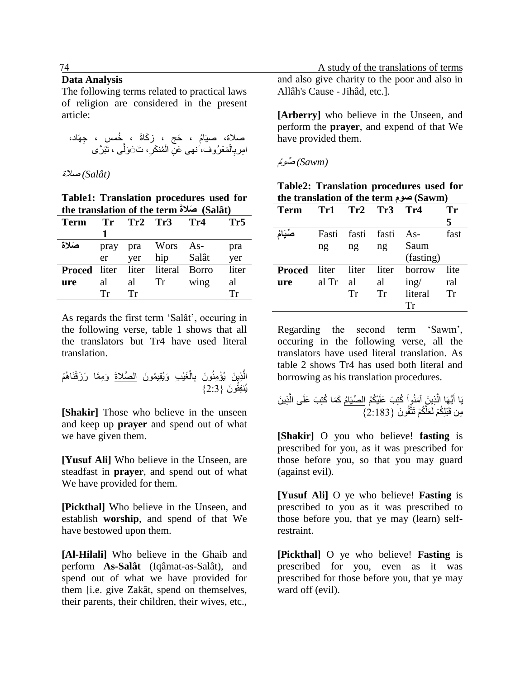#### **Data Analysis**

The following terms related to practical laws of religion are considered in the present article:

صالة، صيَاُم ، َحج ، ز َكاةَ ، ُخمس ، ِجهَاد، َّی ، َت ََ َول ِ ُمن َكر ْ َمْع ُروفَ،نهی َع ِن ال ْ ال ا ِمرب ، تَبَ َّری ِ

*(Salât (*صالة

**Table1: Translation procedures used for the translation of the term َصالةَ) Salât)** 

| <b>Term</b>                       | Tr   | $Tr2$ Tr3 |      | Tr4     | Tr <sub>5</sub> |
|-----------------------------------|------|-----------|------|---------|-----------------|
|                                   |      |           |      |         |                 |
| صَلاة                             | pray | pra       | Wors | As-     | pra             |
|                                   | er   | yer       | hip  | Salât   | yer             |
| <b>Proced</b> liter liter literal |      |           |      | – Borro | liter           |
| ure                               | al   | al        | Tr   | wing    | al              |
|                                   | Тr   | Тr        |      |         | Тr              |

As regards the first term 'Salât', occuring in the following verse, table 1 shows that all the translators but Tr4 have used literal translation.

ِذي َن يُ ْؤ ِمنُ َغْي ِب َو ال يُقِي ُمو َن َّ ْ ال ِ ْم قنَاهُ َو ِمَّما َر َز ْ و َن ب ال َّصالةَ يُنفِق 7:2{ ُو َن }

**[Shakir]** Those who believe in the unseen and keep up **prayer** and spend out of what we have given them.

**[Yusuf Ali]** Who believe in the Unseen, are steadfast in **prayer**, and spend out of what We have provided for them.

**[Pickthal]** Who believe in the Unseen, and establish **worship**, and spend of that We have bestowed upon them.

**[Al-Hilali]** Who believe in the Ghaib and perform **As-Salât** (Iqâmat-as-Salât), and spend out of what we have provided for them [i.e. give Zakât, spend on themselves, their parents, their children, their wives, etc.,

 27 A study of the translations of terms and also give charity to the poor and also in Allâh's Cause - Jihâd, etc.].

> **[Arberry]** who believe in the Unseen, and perform the **prayer**, and expend of that We have provided them.

*(Sawm (*صوُم

| Table2: Translation procedures used for |  |  |
|-----------------------------------------|--|--|
| the translation of the term صوم) (Sawm  |  |  |

| Term          |                   |                   | $Tr1$ $Tr2$ $Tr3$ $Tr4$ |               | Tr   |
|---------------|-------------------|-------------------|-------------------------|---------------|------|
|               |                   |                   |                         |               | 5    |
|               |                   | Fasti fasti fasti |                         | $As-$         | fast |
|               | ng                | ng                | ng                      | Saum          |      |
|               |                   |                   |                         | (fasting)     |      |
| <b>Proced</b> | liter liter liter |                   |                         | borrow        | lite |
| ure           | al Tr             | al                | al                      | $\text{ing}/$ | ral  |
|               |                   | Tr                | Tr                      | literal       | Tr   |
|               |                   |                   |                         | Тr            |      |

Regarding the second term 'Sawm', occuring in the following verse, all the translators have used literal translation. As table 2 shows Tr4 has used both literal and borrowing as his translation procedures.

َّ يُّهَا ال ْي ُك يَا أ ُم َ ْ ُكتِ َب َعلَ َمنُوا ال ص ِذي َن ِذي َن آ يَاُم َّ َكَما ُكتِ َب َعلَى ال َّ ُكْم تَتَّقُو َن } َعل ِمن قَ ْبلِ 7:1:2{ ُكْم لَ

**[Shakir]** O you who believe! **fasting** is prescribed for you, as it was prescribed for those before you, so that you may guard (against evil).

**[Yusuf Ali]** O ye who believe! **Fasting** is prescribed to you as it was prescribed to those before you, that ye may (learn) selfrestraint.

**[Pickthal]** O ye who believe! **Fasting** is prescribed for you, even as it was prescribed for those before you, that ye may ward off (evil).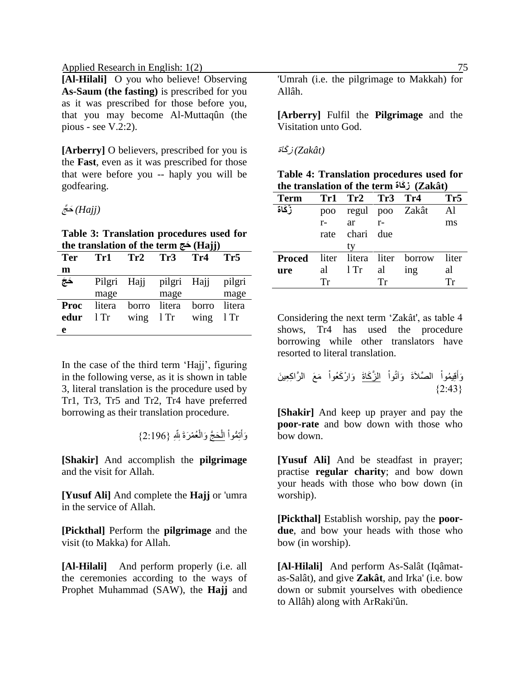**[Al-Hilali]** O you who believe! Observing **As-Saum (the fasting)** is prescribed for you as it was prescribed for those before you, that you may become Al-Muttaqûn (the pious - see V.2:2).

**[Arberry]** O believers, prescribed for you is the **Fast**, even as it was prescribed for those that were before you -- haply you will be godfearing.

*(Hajj (*َح َّج

**Table 3: Translation procedures used for the translation of the term حجَ) Hajj)** 

| <b>Ter</b>  | Tr1    | Tr2         | Tr3                     | $\cdots$<br>Tr4 | Tr5    |
|-------------|--------|-------------|-------------------------|-----------------|--------|
| m           |        |             |                         |                 |        |
| ِ جَجَ      |        |             | Pilgri Hajj pilgri Hajj |                 | pilgri |
|             | mage   |             | mage                    |                 | mage   |
| <b>Proc</b> | litera | borro       | litera                  | borro           | litera |
| edur        | $1$ Tr | wing $1$ Tr |                         | wing            | $1$ Tr |
| e           |        |             |                         |                 |        |

In the case of the third term 'Hajj', figuring in the following verse, as it is shown in table 3, literal translation is the procedure used by Tr1, Tr3, Tr5 and Tr2, Tr4 have preferred borrowing as their translation procedure.

> ْ وَأَتِمُّواْ ا<u>لْحَجَّ</u> وَالْعُمْرَةَ لِلَّهِ {2:196} َ ْ

**[Shakir]** And accomplish the **pilgrimage** and the visit for Allah.

**[Yusuf Ali]** And complete the **Hajj** or 'umra in the service of Allah.

**[Pickthal]** Perform the **pilgrimage** and the visit (to Makka) for Allah.

**[Al-Hilali]** And perform properly (i.e. all the ceremonies according to the ways of Prophet Muhammad (SAW), the **Hajj** and

'Umrah (i.e. the pilgrimage to Makkah) for Allâh.

**[Arberry]** Fulfil the **Pilgrimage** and the Visitation unto God.

*(Zakât (*ز َكاة

**Table 4: Translation procedures used for the translation of the term كاةَ ز) Zakât)** 

| <b>Term</b> |      | Tr1 Tr2 Tr3 Tr4 |      |                                         | Tr <sub>5</sub> |
|-------------|------|-----------------|------|-----------------------------------------|-----------------|
| زَكَاة      | poo  |                 |      | regul poo Zakât                         | Al              |
|             | $r-$ | ar              | $r-$ |                                         | ms              |
|             |      | rate chari due  |      |                                         |                 |
|             |      | ty              |      |                                         |                 |
|             |      |                 |      | <b>Proced</b> liter litera liter borrow | liter           |
| ure         |      | al $1$ Tr       | al   | ing                                     | al              |
|             | Тr   |                 | Тr   |                                         | Тr              |

Considering the next term 'Zakât', as table 4 shows, Tr4 has used the procedure borrowing while other translators have resorted to literal translation.

ْ َوآتُوا ال َّصالَةَ ْ قِي ُموا َ َوأ َم ال َع ال َّرا ِكِعي َن َّز َكاةَ ْ َوا ْر َكُعوا }7:72{

**[Shakir]** And keep up prayer and pay the **poor-rate** and bow down with those who bow down.

**[Yusuf Ali]** And be steadfast in prayer; practise **regular charity**; and bow down your heads with those who bow down (in worship).

**[Pickthal]** Establish worship, pay the **poordue**, and bow your heads with those who bow (in worship).

**[Al-Hilali]** And perform As-Salât (Iqâmatas-Salât), and give **Zakât**, and Irka' (i.e. bow down or submit yourselves with obedience to Allâh) along with ArRaki'ûn.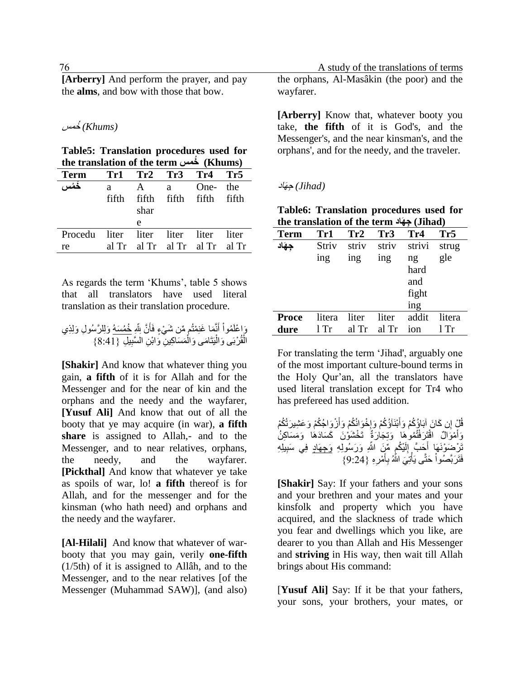| [Arberry] And perform the prayer, and pay      |  |
|------------------------------------------------|--|
| the <b>alms</b> , and bow with those that bow. |  |

#### *(Khums (*ُخمس

**Table5: Translation procedures used for the translation of the term خمس) Khums)**

| Term                                  | Tr1 Tr2 Tr3 Tr4 Tr5 |               |                               |          |       |
|---------------------------------------|---------------------|---------------|-------------------------------|----------|-------|
| خمُس ،                                | a.                  |               | A a                           | One- the |       |
|                                       | fifth               | fifth<br>shar | fifth fifth                   |          | fifth |
|                                       |                     | e             |                               |          |       |
| Procedu liter liter liter liter liter |                     |               |                               |          |       |
| re                                    |                     |               | al Tr al Tr al Tr al Tr al Tr |          |       |

As regards the term 'Khums', table 5 shows that all translators have used literal translation as their translation procedure.

ِ َّن ِلِله َ َما َغنِ ْمتُم من َش ْي ٍء فَأ نَّ َ أ ْ ُموا َوا ْعلَ َولِل َّر ُسو ِل َولِ ِذ ُخ ي ُم َسهُ َم َسا ِك ْ َمى َوال يَتَا ْ ْربَى َوال قُ ِل ال } ْ ي ِ ِن ال َّسب ي ::71{ِن َواْب

**[Shakir]** And know that whatever thing you gain, **a fifth** of it is for Allah and for the Messenger and for the near of kin and the orphans and the needy and the wayfarer, **[Yusuf Ali]** And know that out of all the booty that ye may acquire (in war), **a fifth** share is assigned to Allah,- and to the Messenger, and to near relatives, orphans, the needy, and the wayfarer. **[Pickthal]** And know that whatever ye take as spoils of war, lo! **a fifth** thereof is for Allah, and for the messenger and for the kinsman (who hath need) and orphans and the needy and the wayfarer.

**[Al-Hilali]** And know that whatever of warbooty that you may gain, verily **one-fifth** (1/5th) of it is assigned to Allâh, and to the Messenger, and to the near relatives [of the Messenger (Muhammad SAW)], (and also)

22 22 A study of the translations of terms the orphans, Al-Masâkin (the poor) and the wayfarer.

> **[Arberry]** Know that, whatever booty you take, **the fifth** of it is God's, and the Messenger's, and the near kinsman's, and the orphans', and for the needy, and the traveler.

#### *(Jihad (*ِجهَاد

**Table6: Translation procedures used for the translation of the term هادَ جِ) Jihad)** 

| <b>Term</b>  | Tr1    | Tr2   | Tr <sub>3</sub> | Tr4    | Tr <sub>5</sub> |
|--------------|--------|-------|-----------------|--------|-----------------|
| حهَاد        | Striv  | striv | striv           | strivi | strug           |
|              | ing    | ing   | ing             | ng     | gle             |
|              |        |       |                 | hard   |                 |
|              |        |       |                 | and    |                 |
|              |        |       |                 | fight  |                 |
|              |        |       |                 | ing    |                 |
| <b>Proce</b> | litera | liter | liter           | addit  | litera          |
| dure         | $1$ Tr | al Tr | al Tr           | ion    | l Tr            |

For translating the term 'Jihad', arguably one of the most important culture-bound terms in the Holy Qur'an, all the translators have used literal translation except for Tr4 who has prefereed has used addition.

|  |  | قُلْ إِن كَانَ إِبَاؤُكُمْ وَأَبْنَاَوُكُمْ وَإِخْوَانُكُمْ وَأَزْوَاجُكُمْ وَعَشِيرَتُكُمْ |  |
|--|--|---------------------------------------------------------------------------------------------|--|
|  |  | وَأَمْوَالٌ اقْتَرَفْتُمُوهَا وَتِجَارَةٌ تَخْشَوْنَ كَسَادَهَا وَمَسَاكِنُ                 |  |
|  |  | تَرْضَوْنَهَا أَحَبَّ إِلَيْكُم مِّنَ اللَّهِ وَرَسُولِهِ وَ <u>جهَادٍ</u> فِي سَبِيلِهِ    |  |
|  |  | فَتَرَبَّصُواْ حَتَّى يَأْتِيَ اللَّهُ بِأَمْرِهِ {9:24}                                    |  |

**[Shakir]** Say: If your fathers and your sons and your brethren and your mates and your kinsfolk and property which you have acquired, and the slackness of trade which you fear and dwellings which you like, are dearer to you than Allah and His Messenger and **striving** in His way, then wait till Allah brings about His command:

[**Yusuf Ali]** Say: If it be that your fathers, your sons, your brothers, your mates, or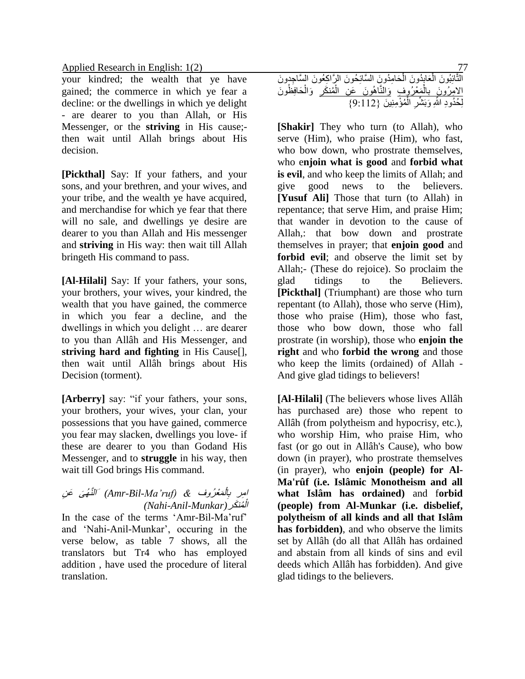your kindred; the wealth that ye have gained; the commerce in which ye fear a decline: or the dwellings in which ye delight - are dearer to you than Allah, or His Messenger, or the **striving** in His cause; then wait until Allah brings about His decision.

**[Pickthal]** Say: If your fathers, and your sons, and your brethren, and your wives, and your tribe, and the wealth ye have acquired, and merchandise for which ye fear that there will no sale, and dwellings ye desire are dearer to you than Allah and His messenger and **striving** in His way: then wait till Allah bringeth His command to pass.

**[Al-Hilali]** Say: If your fathers, your sons, your brothers, your wives, your kindred, the wealth that you have gained, the commerce in which you fear a decline, and the dwellings in which you delight … are dearer to you than Allâh and His Messenger, and **striving hard and fighting** in His Cause[], then wait until Allâh brings about His Decision (torment).

**[Arberry]** say: "if your fathers, your sons, your brothers, your wives, your clan, your possessions that you have gained, commerce you fear may slacken, dwellings you love- if these are dearer to you than Godand His Messenger, and to **struggle** in his way, then wait till God brings His command.

#### لأَمَعْرُ وف ال َی َع ِن <sup>ا</sup> ِمر <sup>ب</sup> *& (ruf'Ma-Bil-Amr (*َ الَّنهُ ِ ُمن َكر ْ *(Nahi-Anil-Munkar)* ال

In the case of the terms 'Amr-Bil-Ma'ruf' and 'Nahi-Anil-Munkar', occuring in the verse below, as table 7 shows, all the translators but Tr4 who has employed addition , have used the procedure of literal translation.

| التَّائِبُونَ الْعَابِدُونَ الْحَامِدُونَ السَّائِحُونَ الرَّاكِعُونَ السَّاجِدِونَ |  |                                                    |  |
|-------------------------------------------------------------------------------------|--|----------------------------------------------------|--|
| الإمِرُونَ بِالْمَغْرَوفِ وَالَّنَّاهُونَ عَنِ الْمُنكَرِ وَالْحَافِظُونَ           |  |                                                    |  |
|                                                                                     |  | لِحُدُودِ اللَّهِ وَبَشَّرِ الْمُؤْمِنِينَ {9:112} |  |

**[Shakir]** They who turn (to Allah), who serve (Him), who praise (Him), who fast, who bow down, who prostrate themselves, who e**njoin what is good** and **forbid what is evil**, and who keep the limits of Allah; and give good news to the believers. **[Yusuf Ali]** Those that turn (to Allah) in repentance; that serve Him, and praise Him; that wander in devotion to the cause of Allah,: that bow down and prostrate themselves in prayer; that **enjoin good** and **forbid evil**; and observe the limit set by Allah;- (These do rejoice). So proclaim the glad tidings to the Believers. **[Pickthal]** (Triumphant) are those who turn repentant (to Allah), those who serve (Him), those who praise (Him), those who fast, those who bow down, those who fall prostrate (in worship), those who **enjoin the right** and who **forbid the wrong** and those who keep the limits (ordained) of Allah - And give glad tidings to believers!

**[Al-Hilali]** (The believers whose lives Allâh has purchased are) those who repent to Allâh (from polytheism and hypocrisy, etc.), who worship Him, who praise Him, who fast (or go out in Allâh's Cause), who bow down (in prayer), who prostrate themselves (in prayer), who **enjoin (people) for Al-Ma'rûf (i.e. Islâmic Monotheism and all what Islâm has ordained)** and f**orbid (people) from Al-Munkar (i.e. disbelief, polytheism of all kinds and all that Islâm has forbidden)**, and who observe the limits set by Allâh (do all that Allâh has ordained and abstain from all kinds of sins and evil deeds which Allâh has forbidden). And give glad tidings to the believers.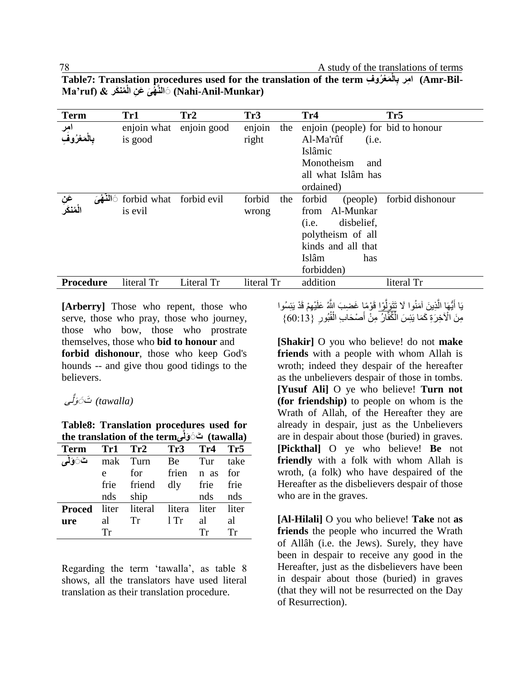| <b>Term</b>                | Tr1                                | Tr2         | Tr <sub>3</sub>        | Tr4                                                                                                                                     | Tr <sub>5</sub>  |
|----------------------------|------------------------------------|-------------|------------------------|-----------------------------------------------------------------------------------------------------------------------------------------|------------------|
| امر<br>مغروف               | enjoin what<br>is good             | enjoin good | enjoin<br>the<br>right | enjoin (people) for bid to honour<br>Al-Ma'rûf<br>(i.e.<br>Islâmic<br>Monotheism<br>and<br>all what Islâm has<br>ordained)              |                  |
| عَ <i>نِ</i><br>الْمُنْكَر | forbid what forbid evil<br>is evil |             | forbid<br>the<br>wrong | forbid<br>(people)<br>Al-Munkar<br>from<br>disbelief,<br>(i.e.<br>polytheism of all<br>kinds and all that<br>Islâm<br>has<br>forbidden) | forbid dishonour |
| <b>Procedure</b>           | literal Tr                         | Literal Tr  | literal Tr             | addition                                                                                                                                | literal Tr       |

**Table7: Translation procedures used for the translation of the term فِ رو عْ مَ ِالْ من َكر & (ruf'Ma-Bil-Amr (ا ِمر ب ه َی َع ِن الْ َّالنََ) Nahi-Anil-Munkar)**

**[Arberry]** Those who repent, those who serve, those who pray, those who journey, those who bow, those who prostrate themselves, those who **bid to honour** and **forbid dishonour**, those who keep God's hounds -- and give thou good tidings to the believers.

# (tawalla*) تَेرَلَّی*

**Table8: Translation procedures used for the translation of the termیَّولَ ََ تَ) tawalla)** 

|             |     | Term Tr1 Tr2 Tr3 Tr4 Tr5                 |        |                |       |
|-------------|-----|------------------------------------------|--------|----------------|-------|
| تَ6َ وَلِمِ |     | mak Turn Be Tur                          |        |                | take  |
|             | e   | for                                      |        | frien n as for |       |
|             |     | frie friend dly frie frie                |        |                |       |
|             | nds | ship                                     |        | nds nds        |       |
|             |     | <b>Proced</b> liter literal litera liter |        |                | liter |
| ure         | al  | Tr                                       | $1$ Tr | al             | al    |
|             | Tr  |                                          |        | Tr             | Tr    |

Regarding the term 'tawalla', as table 8 shows, all the translators have used literal translation as their translation procedure.

يَا أَيُّهَا الَّذِينَ آمَنُوا لَا <u>تَتَوَلَّوْا</u> قَوْمًاٍ غَضِبَ اللَّهُ عَلَيْهِمْ قَدْ يَئِسُوا َّ َ َّ مِنَ الْأَخِرَةِ كَمَا يَئِسَ الْكُفَّارُ مِنْ أَصْحَابِ الْقُبُورِ ۚ {60:13} ْ َ

**[Shakir]** O you who believe! do not **make friends** with a people with whom Allah is wroth; indeed they despair of the hereafter as the unbelievers despair of those in tombs. **[Yusuf Ali]** O ye who believe! **Turn not (for friendship)** to people on whom is the Wrath of Allah, of the Hereafter they are already in despair, just as the Unbelievers are in despair about those (buried) in graves. **[Pickthal]** O ye who believe! **Be** not **friendly** with a folk with whom Allah is wroth, (a folk) who have despaired of the Hereafter as the disbelievers despair of those who are in the graves.

**[Al-Hilali]** O you who believe! **Take** not **as friends** the people who incurred the Wrath of Allâh (i.e. the Jews). Surely, they have been in despair to receive any good in the Hereafter, just as the disbelievers have been in despair about those (buried) in graves (that they will not be resurrected on the Day of Resurrection).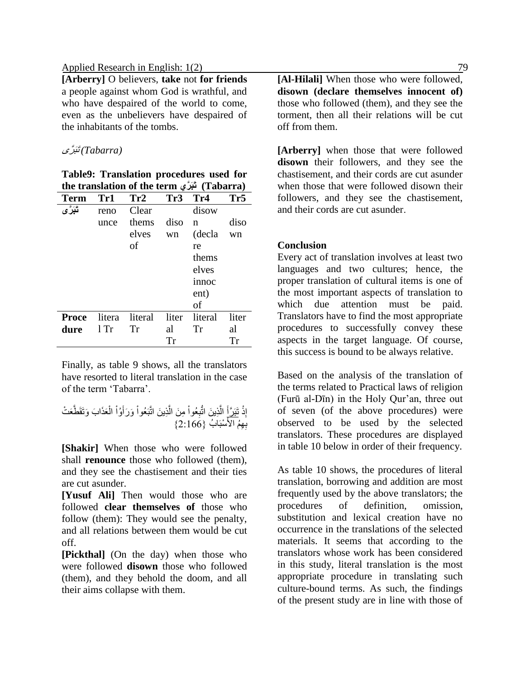**[Arberry]** O believers, **take** not **for friends** a people against whom God is wrathful, and who have despaired of the world to come, even as the unbelievers have despaired of the inhabitants of the tombs.

#### *(Tabarra (*تَبَ َّری

**Table9: Translation procedures used for the translation of the term ريَّ َبَت) Tabarra)**

| <b>Term</b>  | Tr1    | Tr2     | Tr3       | Tr4     | Tr5   |
|--------------|--------|---------|-----------|---------|-------|
| تَبَرَّى     | reno   | Clear   |           | disow   |       |
|              | unce   | thems   | diso      | n       | diso  |
|              |        | elves   | wn        | (decla  | wn    |
|              |        | οf      |           | re      |       |
|              |        |         |           | thems   |       |
|              |        |         |           | elves   |       |
|              |        |         |           | innoc   |       |
|              |        |         |           | ent)    |       |
|              |        |         |           | of      |       |
| <b>Proce</b> | litera | literal | liter     | literal | liter |
| dure         | $1$ Tr | Tr      | al        | Tr      | al    |
|              |        |         | <b>Tr</b> |         | Tr    |

Finally, as table 9 shows, all the translators have resorted to literal translation in the case of the term 'Tabarra'.

ِذْ إ َ تَبَ َّرأ َعَذا َب َوتَقَطَّ ْ ال ْ ُوا َ َو َرأ ْ ِذي َن اتَّبَ ُعوا َّ ِم َن ال ْ ُعوا ِ ِذي َن اتُّب َّ َع ْت ال ْسبَا ُب } ب 7:122{ِ ِهُم األَ

**[Shakir]** When those who were followed shall **renounce** those who followed (them), and they see the chastisement and their ties are cut asunder.

**[Yusuf Ali]** Then would those who are followed **clear themselves of** those who follow (them): They would see the penalty, and all relations between them would be cut off.

**[Pickthal]** (On the day) when those who were followed **disown** those who followed (them), and they behold the doom, and all their aims collapse with them.

**[Al-Hilali]** When those who were followed, **disown (declare themselves innocent of)** those who followed (them), and they see the torment, then all their relations will be cut off from them.

**[Arberry]** when those that were followed **disown** their followers, and they see the chastisement, and their cords are cut asunder when those that were followed disown their followers, and they see the chastisement, and their cords are cut asunder.

### **Conclusion**

Every act of translation involves at least two languages and two cultures; hence, the proper translation of cultural items is one of the most important aspects of translation to which due attention must be paid. Translators have to find the most appropriate procedures to successfully convey these aspects in the target language. Of course, this success is bound to be always relative.

Based on the analysis of the translation of the terms related to Practical laws of religion (Furū al-Dīn) in the Holy Qur'an, three out of seven (of the above procedures) were observed to be used by the selected translators. These procedures are displayed in table 10 below in order of their frequency.

As table 10 shows, the procedures of literal translation, borrowing and addition are most frequently used by the above translators; the procedures of definition, omission, substitution and lexical creation have no occurrence in the translations of the selected materials. It seems that according to the translators whose work has been considered in this study, literal translation is the most appropriate procedure in translating such culture-bound terms. As such, the findings of the present study are in line with those of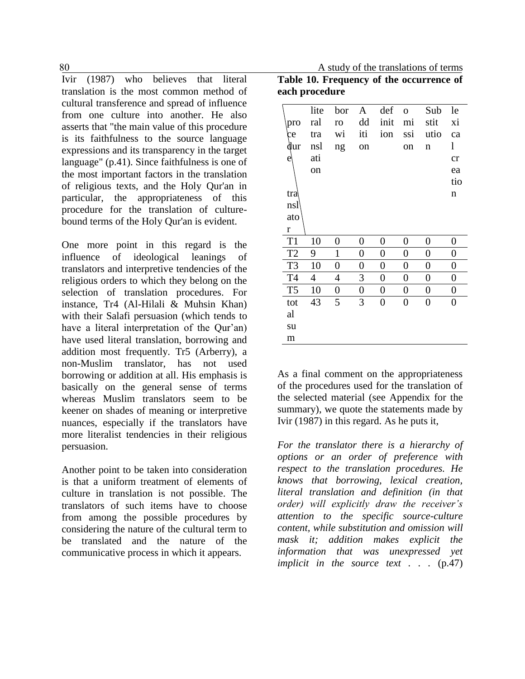Ivir (1987) who believes that literal translation is the most common method of cultural transference and spread of influence from one culture into another. He also asserts that "the main value of this procedure is its faithfulness to the source language expressions and its transparency in the target language" (p.41). Since faithfulness is one of the most important factors in the translation of religious texts, and the Holy Qur'an in particular, the appropriateness of this procedure for the translation of culturebound terms of the Holy Qur'an is evident.

One more point in this regard is the influence of ideological leanings of translators and interpretive tendencies of the religious orders to which they belong on the selection of translation procedures. For instance, Tr4 (Al-Hilali & Muhsin Khan) with their Salafi persuasion (which tends to have a literal interpretation of the Qur'an) have used literal translation, borrowing and addition most frequently. Tr5 (Arberry), a non-Muslim translator, has not used borrowing or addition at all. His emphasis is basically on the general sense of terms whereas Muslim translators seem to be keener on shades of meaning or interpretive nuances, especially if the translators have more literalist tendencies in their religious persuasion.

Another point to be taken into consideration is that a uniform treatment of elements of culture in translation is not possible. The translators of such items have to choose from among the possible procedures by considering the nature of the cultural term to be translated and the nature of the communicative process in which it appears.

80 A study of the translations of terms **Table 10. Frequency of the occurrence of each procedure**

|                | lite | bor | A                | def            | $\mathbf{O}$     | Sub            | le               |
|----------------|------|-----|------------------|----------------|------------------|----------------|------------------|
| pro            | ral  | ro  | dd               | init           | mi               | stit           | хi               |
| ce             | tra  | wi  | iti              | ion            | ssi              | utio           | ca               |
| dur            | nsl  | ng  | on               |                | on               | n              | l                |
| e              | ati  |     |                  |                |                  |                | cr               |
|                | on   |     |                  |                |                  |                | ea               |
|                |      |     |                  |                |                  |                | tio              |
| tra            |      |     |                  |                |                  |                | n                |
| nsl            |      |     |                  |                |                  |                |                  |
| ato            |      |     |                  |                |                  |                |                  |
| $\bf r$        |      |     |                  |                |                  |                |                  |
| T <sub>1</sub> | 10   | 0   | 0                | 0              | 0                | 0              | 0                |
| T <sub>2</sub> | 9    | 1   | 0                | 0              | 0                | 0              | 0                |
| T <sub>3</sub> | 10   | 0   | 0                | 0              | 0                | 0              | 0                |
| T <sub>4</sub> | 4    | 4   | 3                | 0              | 0                | 0              | 0                |
| T <sub>5</sub> | 10   | 0   | $\boldsymbol{0}$ | 0              | $\boldsymbol{0}$ | 0              | 0                |
| tot            | 43   | 5   | 3                | $\overline{0}$ | $\overline{0}$   | $\overline{0}$ | $\boldsymbol{0}$ |
| al             |      |     |                  |                |                  |                |                  |
| su             |      |     |                  |                |                  |                |                  |
| m              |      |     |                  |                |                  |                |                  |

As a final comment on the appropriateness of the procedures used for the translation of the selected material (see Appendix for the summary), we quote the statements made by Ivir (1987) in this regard. As he puts it,

*For the translator there is a hierarchy of options or an order of preference with respect to the translation procedures. He knows that borrowing, lexical creation, literal translation and definition (in that order) will explicitly draw the receiver's attention to the specific source-culture content, while substitution and omission will mask it; addition makes explicit the information that was unexpressed yet implicit in the source text . . .* (p.47)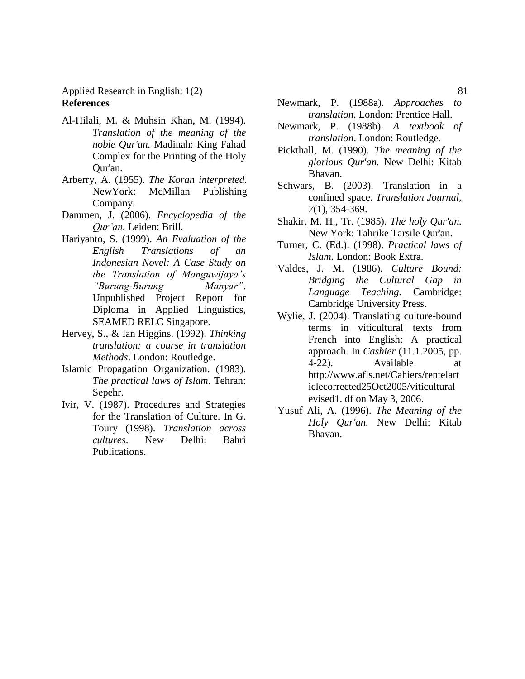### **References**

- Al-Hilali, M. & Muhsin Khan, M. (1994). *Translation of the meaning of the noble Qur'an.* Madinah: King Fahad Complex for the Printing of the Holy Qur'an.
- Arberry, A. (1955). *The Koran interpreted*. NewYork: McMillan Publishing Company.
- Dammen, J. (2006). *Encyclopedia of the Qur'an.* Leiden: Brill*.*
- Hariyanto, S. (1999). *An Evaluation of the English Translations of an Indonesian Novel: A Case Study on the Translation of Manguwijaya's "Burung-Burung Manyar"*. Unpublished Project Report for Diploma in Applied Linguistics, SEAMED RELC Singapore.
- Hervey, S., & Ian Higgins. (1992). *Thinking translation: a course in translation Methods*. London: Routledge.
- Islamic Propagation Organization. (1983). *The practical laws of Islam*. Tehran: Sepehr.
- Ivir, V. (1987). Procedures and Strategies for the Translation of Culture. In G. Toury (1998). *Translation across cultures*. New Delhi: Bahri Publications.
- Newmark, P. (1988a). *Approaches to translation.* London: Prentice Hall.
- Newmark, P. (1988b). *A textbook of translation*. London: Routledge.
- Pickthall, M. (1990). *The meaning of the glorious Qur'an.* New Delhi: Kitab Bhavan.
- Schwars, B. (2003). Translation in a confined space. *Translation Journal, 7*(1), 354-369.
- Shakir, M. H., Tr. (1985). *The holy Qur'an.* New York: Tahrike Tarsile Qur'an.
- Turner, C. (Ed.). (1998). *Practical laws of Islam*. London: Book Extra.
- Valdes, J. M. (1986). *Culture Bound: Bridging the Cultural Gap in Language Teaching.* Cambridge: Cambridge University Press.
- Wylie, J. (2004). Translating culture-bound terms in viticultural texts from French into English: A practical approach. In *Cashier* (11.1.2005, pp. 4-22). Available at http://www.afls.net/Cahiers/rentelart iclecorrected25Oct2005/viticultural evised1. df on May 3, 2006.
- Yusuf Ali, A. (1996). *The Meaning of the Holy Qur'an.* New Delhi: Kitab Bhavan.